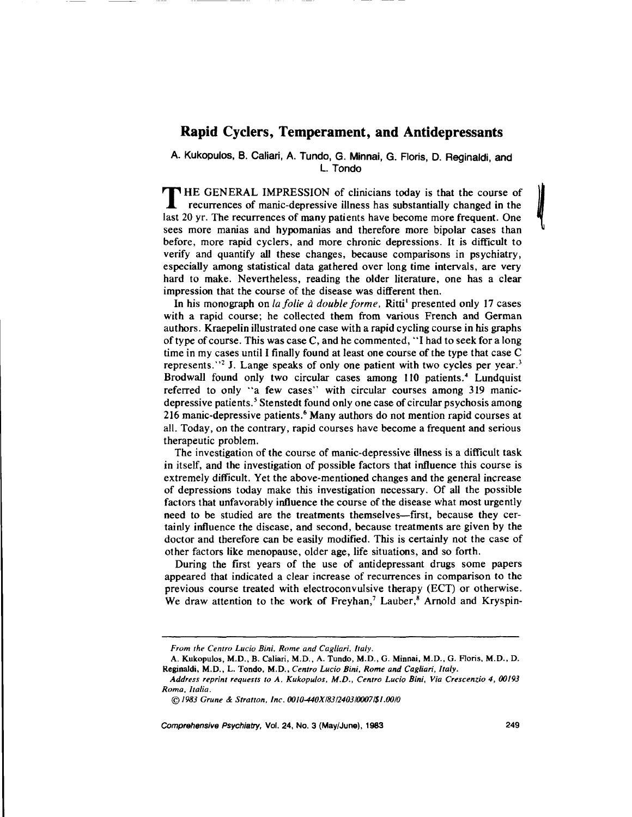# Rapid Cyclers, Temperament, and Antidepressants

A. Kukopulos, B. Caliari, A. Tundo, G. Minnai, G. Floris, D. Reginaldi, and L. Tondo

HE GENERAL IMPRESSION of clinicians today is that the course of recurrences of manic-depressive illness has substantially changed in the last 20 yr. The recurrences of many patients have become more frequent. One sees more manias and hypomanias and therefore more bipolar cases than before, more rapid cyclers, and more chronic depressions. It is difficult to verify and quantify all these changes, because comparisons in psychiatry, especially among statistical data gathered over long time intervals, are very hard to make. Nevertheless, reading the older literature, one has a clear impression that the course of the disease was different then.

In his monograph on la folie à double forme, Ritti<sup>t</sup> presented only 17 cases with a rapid course; he collected them from various French and German authors. Kraepelin illustrated one case with a rapid cycling course in his graphs of type of course. This was case C, and he commented, "I had to seek for a long time in my cases until I finally found at least one course of the type that case C represents."<sup>2</sup> J. Lange speaks of only one patient with two cycles per year.<sup>3</sup> Brodwall found only two circular cases among 110 patients.<sup>4</sup> Lundquist referred to only "a few cases" with circular courses among 319 manicdepressive patients.<sup>5</sup> Stenstedt found only one case of circular psychosis among 216 manic-depressive patients.<sup>6</sup> Many authors do not mention rapid courses at all. Today, on the contrary, rapid courses have become a frequent and serious therapeutic problem.

The investigation of the course of manic-depressive illness is a difficult task in itself, and the investigation of possible factors that influence this course is extremely difricult. Yet the above-mentioned changes and the general increase of depressions today make this investigation necessary. Of all the possible factors that unfavorably influence the course of the disease what most urgently need to be studied are the treatments themselves-first, because they certainly influence the disease, and second, because treatments are given by the doctor and therefore can be easily modified. This is certainly not the case of other factors like menopause, older age, life situations, and so forth.

During the first years of the use of antidepressant drugs some papers appeared that indicated a clear increase of recurrences in comparison to the previous course treated with electroconvulsive therapy (ECT) or otherwise. We draw attention to the work of Freyhan,<sup>7</sup> Lauber,<sup>8</sup> Arnold and Kryspin-

Comprehensive Psychiatry, Vol. 24, No. 3 (May/June), 1983

From the Centro Lucio Bini, Rome and Cagliari, Italy.

A. Kukopulos, M.D., B. Caliari, M.D., A. Tundo, M.D., G. Minnai, M.D., G. Floris, M.D., D. Reginaldi, M.D., L. Tondo, M.D., Centro Lucio Bini, Rome and Cagliari, Italy.

Address reprint requests to A. Kukopulos, M.D., Centro Lucio Bini, Via Crescenzio 4, 00193 Roma, Italia.

<sup>© 1983</sup> Grune & Stratton, Inc. 0010-440X/83/2403/0007/\$1.00/0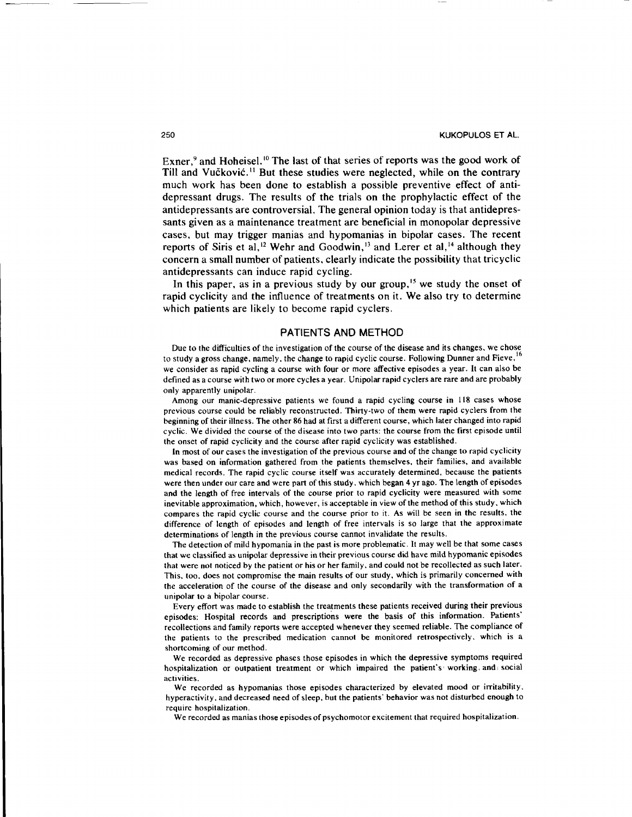KUKOPULOS ET AL.

Exner,<sup>9</sup> and Hoheisel.<sup>10</sup> The last of that series of reports was the good work of Till and Vučković.<sup>11</sup> But these studies were neglected, while on the contrary much work has been done to establish a possible preventive effect of antidepressant drugs. The results of the trials on the prophylactic effect of the antidepressants are controversial. The general opinion today is that antidepressants given as a maintenance treatment are beneficial in monopolar depressive cases, but may trigger manias and hypomanias in bipolar cases. The recent reports of Siris et al,<sup>12</sup> Wehr and Goodwin,<sup>13</sup> and Lerer et al,<sup>14</sup> although they concern a small number of patients. clearly indicate the possibility that tricyclic antidepressants can induce rapid cycling.

In this paper, as in a previous study by our group,<sup>15</sup> we study the onset of rapid cyclicity and the influence of treatments on it. We also try to determine which patients are likely to become rapid cyclers.

#### PATIENTS AND METHOD

Due to the difficulties of the investigation of the course of the disease and its changes, we chose to study a gross change, namely, the change to rapid cyclic course. Following Dunner and Fieve, <sup>16</sup> we consider as rapid cycling a course with four or more affective episodes a year. lt can also be defined as a course with two or more cycles a year. Unipolar rapid cyclers are rare and are probably only apparently unipolar.

Among our manic-depressive patients we found a rapid cycling course in 118 cases whose previous course could be reliably reconstructed. Thirty-two of them were rapid cyclers from the beginning of their illness. The other 86 had at first a different course, which later changed into rapid cyclic. We divided the course of the disease into two parts: the course from the first episode until the onset of rapid cyclicity and the course after rapid cyclicity was established.

ln most of our cases the investigation of the previous course and of the change to rapid cyclicity was based on information gathered from the patients themselves. their families, and available medical records. The rapid cyclic course itself was accurately determined, because the patients were then under our care and were part of this study, which began 4 yr ago. The length of episodes and the length of free intervals of the course prior to rapid cyclicity were measured with some inevitable approximation, which, however, is acceptable in view of the method of this study. which compares the rapid cyclic course and the course prior to it. As will be seen in the results. the difference of length of episodes and lenglh of free intervals is so large that the approximate determinations of length in the previous course cannot invalidate the results.

The detection of mild hypomania in the past is more problematic. It may well be that some cases that we classified as unipolar depressive in their previous course did have mild hypomanic episodes that were not noticed by the patient or his or her family, and could not be recollected as such later. This, too. does not compromise the main results of our study. which is primarily concerned with the acceleration of the course of the disease and only secondarily with the transformation of a unipolar to a bipolar course.

Every efrort was made to establish the treatments these patients received during their previous episodes: Hospital records and prescriptions were the basis of this information. Patients' recollections and family reports were accepled whenever they seemed reliable. The compliance of the patients to the prescribed medication cannot be monitored retrospectively, which is a shortcoming of our method.

We recorded as depressive phases those episodes in which the depressive symptoms required hospitalization or outpatient treatment or which impaired the patient's working, and social activities.

We recorded as hypomanias those episodes characterized by elevated mood or irritability. hyperactivity, and decreased need of sleep, but the patients' behavior was not disturbed enough to require hospitalization.

We recorded as manias those episodes of psychomotor excitement that required hospitalization.

250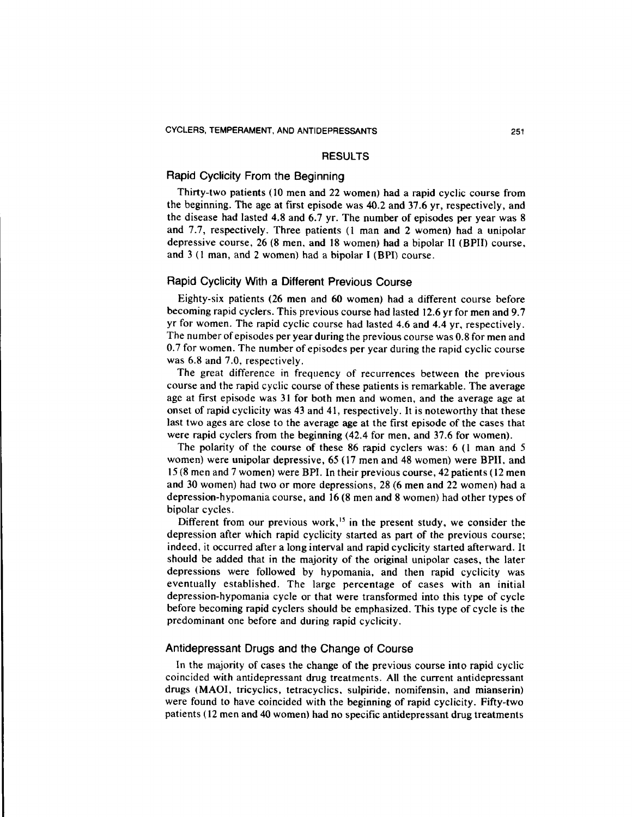#### RESULTS

## Rapid Cyclicity From the Beginning

Thirty-two patients (10 men and 22 women) had a rapid cyclic course from the beginning. The age at first episode was 40.2 and 37.6 yr, respectively, and the disease had lasted 4.8 and 6.7 yr. The number of episodes per year was 8 and 7.7, respectively. Three patients (l man and 2 women) had a unipolar depressive course, 26 (8 men, and 18 women) had a bipolar II (BPII) course, and 3 (l man, and 2 women) had a bipolar I (BPI) course.

## Rapid Cyclicity Wth a Ditferent Previous Course

Eighty-six patients (26 men and 60 women) had a different course before becoming rapid cyclers. This previous course had lasted 12.6yr for men and 9.7 yr for women. The rapid cyclic course had lasted 4.6 and 4.4yr, respectively. The number of episodes per year during the previous course was 0.8 for men and 0.7 for women. The number of episodes per year during the rapid cyclic course was 6.8 and 7.0, respectively.

The great difference in frequency of recurrences between the previous course and the rapid cyclic course of these patients is remarkable. The average age at first episode was 3l for both men and women, and the average age at onset of rapid cyclicity was 43 and 41, respectively. It is noteworthy that these last two ages are close to the average age at the first episode of the cases that were rapid cyclers from the beginning (42.4 for men, and 37.6 for women).

The polarity of the course of these 86 rapid cyclers was: 6 (l man and 5 women) were unipolar depressive,65 (17 men and 48 women) were BPII, and l5 (8 men and 7 women) were BPL In their previous course, 42 patients (12 men and 30 women) had two or more depressions,2S(6 men and 22 women) had a depression-hypomania course, and l6 (8 men and 8 women) had other types of bipolar cycles.

Different from our previous work,<sup>15</sup> in the present study, we consider the depression after which rapid cyclicity started as part of the previous course; indeed, it occurred after a long interval and rapid cyclicity started afterward. It should be added that in the majority of the original unipolar cases, the later depressions were followed by hypomania, and then rapid cyclicity was eventually established. The large percentage of cases with an initial depression-hypomania cycle or that were transformed into this type of cycle before becoming rapid cyclers should be emphasized. This type of cycle is the predominant one before and during rapid cyclicity.

### Antidepressant Drugs and the Change of Course

In the majority of cases the change of the previous course into rapid cyclic coincided with antidepressant drug treatments. All the current antidepressant drugs (MAOI, tricyclics, tetracyclics. sulpiride. nomifensin, and mianserin) were found to have coincided with the beginning of rapid cyclicity. Fifty-two patients ( l2 men and 40 women) had no specific antidepressant drug treatments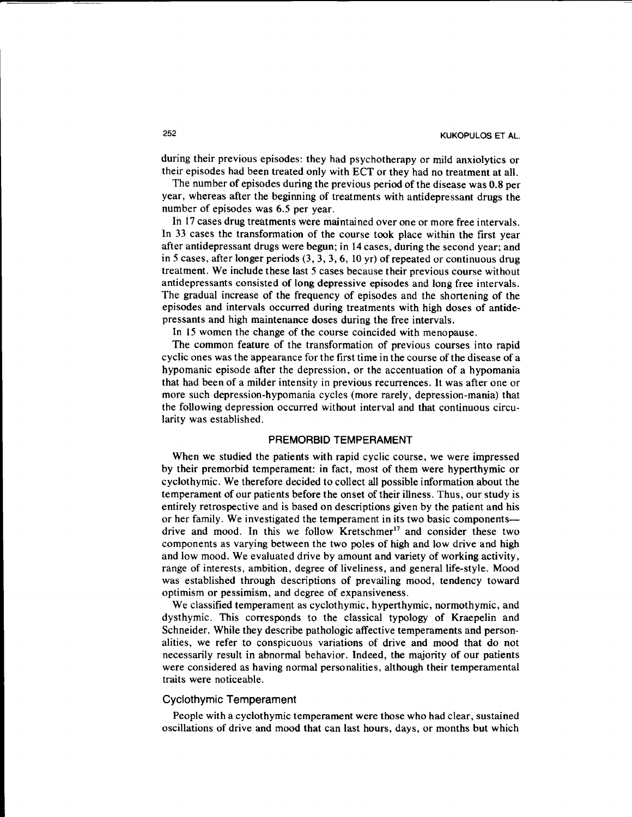during their previous episodes: they had psychotherapy or mild anxiolytics or their episodes had been treated only with ECT or they had no treatment at all.

The number of episodes during the previous period of the disease was 0.8 per year, whereas after the beginning of treatments with antidepressant drugs the number of episodes was 6.5 per year.

In 17 cases drug treatments were maintained over one or more free intervals. In 33 cases the transformation of the course took place within the first year after antidepressant drugs were begun; in 14 cases, during the second year: and in 5 cases, after longer periods (3, 3, 3, 6, l0 yr) of repeated or continuous drug treatment. We include these last 5 cases because their previous course without antidepressants consisted of long depressive episodes and long free intervals. The gradual increase of the frequency of episodes and the shortening of the episodes and intervals occurred during treatments with high doses of antidepressants and high maintenance doses during the free intervals.

In 15 women the change of the course coincided with menopause.

The common feature of the transformation of previous courses into rapid cyclic ones was the appearance for the first time in the course of the disease of a hypomanic episode after the depression, or the accentuation of a hypomania that had been of a milder intensity in previous recurrences. It was after one or more such depression-hypomania cycles (more rarely, depression-mania) that the following depression occurred without interval and that continuous circularity was established.

## PREMORBID TEMPERAMENT

When we studied the patients with rapid cyclic course, we were impressed by their premorbid temperament: in fact, most of them were hyperthymic or cyclothymic. We therefore decided to collect all possible information about the temperament of our patients before the onset of their illness. Thus, our study is entirely retrospective and is based on descriptions given by the patient and his or her family. We investigated the temperament in its two basic components-drive and mood. In this we follow Kretschmer<sup>17</sup> and consider these two components as varying between the two poles of high and low drive and high and low mood. We evaluated drive by amount and variety of working activity, range of interests, ambition, degree of liveliness, and general life-style. Mood was established through descriptions of prevailing mood, tendency toward optimism or pessimism, and degree of expansiveness.

We classified temperament as cyclothymic, hyperthymic, normothymic, and dysthymic. This corresponds to the classical typology of Kraepelin and Schneider. While they describe pathologic affective temperaments and personalities, we refer to conspicuous variations of drive and mood that do not necessarily result in abnormal behavior. Indeed, the majority of our patients were considered as having normal personalities, although their temperamental traits were noticeable.

## Cyclothymic Temperament

People with a cyclothymic temperament were those who had clear, sustained oscillations of drive and mood that can last hours, days, or months but which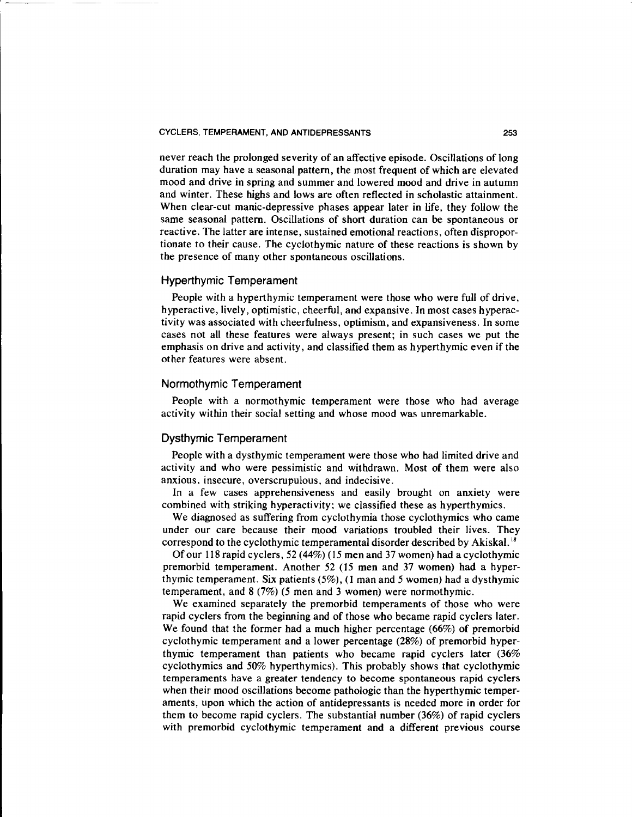#### CYCLERS, TEMPERAMENT. AND ANTIDEPRESSANTS

never reach the prolonged severity of an affective episode. Oscillations of long duration may have a seasonal pattern, the most frequent of which are elevated mood and drive in spring and summer and lowered mood and drive in autumn and winter. These highs and lows are often reflected in scholastic attainment. When clear-cut manic-depressive phases appear later in life, they follow the same seasonal pattern. Oscillations of short duration can be spontaneous or reactive. The latter are intense, sustained emotional reactions, often disproportionate to their cause. The cyclothymic nature of these reactions is shown by the presence of many other spontaneous oscillations.

## Hyperthymic Temperament

People with a hyperthymic temperament were those who were full of drive, hyperactive, lively, optimistic, cheerful, and expansive. In most cases hyperactivity was associated with cheerfulness, optimism, and expansiveness. In some cases not all these features were always present; in such cases we put the emphasis on drive and activity, and classified them as hyperthymic even if the other features were absent.

#### Normothymic Temperament

People with a normothymic temperament were those who had average activity within their social setting and whose mood was unremarkable.

## Dysthymic Temperament

People with a dysthymic temperament were those who had limited drive and activity and who were pessimistic and withdrawn, Most of them were also anxious, insecure, overscrupulous, and indecisive.

In a few cases apprehensiveness and easily brought on anxiety were combined with striking hyperactivity: we classified these as hyperthymics.

We diagnosed as suffering from cyclothymia those cyclothymics who came under our care because their mood variations troubled their lives. They correspond to the cyclothymic temperamental disorder described by Akiskal.<sup>18</sup>

Of our ll8 rapid cyclers, 52(44%) (15 men and 37 women) had acyclothymic premorbid temperament. Another 52 (15 men and 37 women) had a hyperthymic temperament. Six patients  $(5\%)$ , (1 man and 5 women) had a dysthymic temperament, and  $8(7%)$  (5 men and 3 women) were normothymic.

We examined separately the premorbid temperaments of those who were rapid cyclers from the beginning and of those who became rapid cyclers later. We found that the former had a much higher percentage  $(66%)$  of premorbid cyclothymic temperament and a lower percentage (28%) of premorbid hyperthymic temperament than patients who became rapid cyclers later  $(36\%)$ cyclothymics and 50% hyperthymics). This probably shows that cyclothymic temperaments have a greater tendency to become spontaneous rapid cyclers when their mood oscillations become pathologic than the hyperthymic temperaments, upon which the action of antidepressants is needed more in order for them to become rapid cyclers. The substantial number (36%) of rapid cyclers with premorbid cyclothymic temperament and a different previous course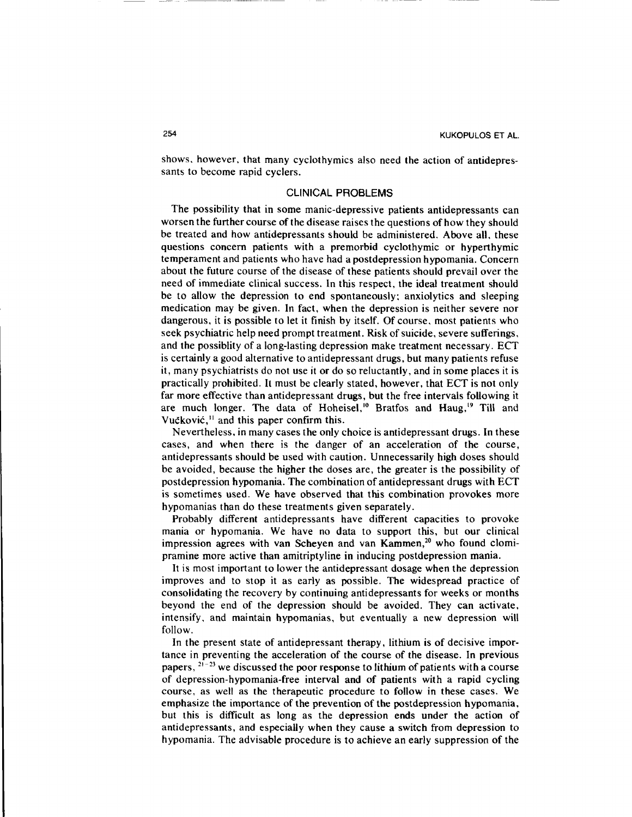shows. however, that many cyclothymics also need the action of antidepressants to become rapid cyclers.

## CLINICAL PROBLEMS

The possibility that in some manic-depressive patients antidepressants can worsen the further course of the disease raises the questions of how they should be treated and how antidepressants should be administered. Above all. these questions concern patients with a premorbid cyclothymic or hyperthymic temperament and patients who have had a postdepression hypomania. Concern about the future course of the disease of these patients should prevail over the need of immediate clinical success. In this respect, the ideal treatment should be to allow the depression to end spontaneously: anxiolytics and sleeping medication may be given. In fact, when the depression is neither severe nor dangerous, it is possible to let it finish by itself. Of course. most patients who seek psychiatric help need prompt treatment. Risk of suicide, severe sufferings. and the possiblity of a long-lasting depression make treatment necessary. ECT is certainly a good alternative to antidepressant drugs, but many patients refuse it, many psychiatrists do not use it or do so reluctantly, and in some places it is practically prohibited. It must be clearly stated, however, that ECT is not only far more effective than antidepressant drugs, but the free intervals following it are much longer. The data of Hoheisel,<sup>10</sup> Bratfos and Haug,<sup>19</sup> Till and Vučković, $<sup>11</sup>$  and this paper confirm this.</sup>

Nevertheless, in many cases the only choice is antidepressant drugs. In these cases, and when there is the danger of an acceleration of the course, antidepressants should be used with caution. Unnecessarily high doses should be avoided, because the higher the doses are, the greater is the possibility of postdepression hypomania. The combination of antidepressant drugs with ECT is sometimes used. We have observed that this combination provokes more hypomanias than do these treatments given separately.

Probably different antidepressants have different capacities to provoke mania or hypomania. We have no data to support this, but our clinical impression agrees with van Scheyen and van Kammen,<sup>20</sup> who found clomipramine more active than amitriptyline in inducing postdepression mania.

It is most important to lower the antidepressant dosage when the depression improves and to stop it as early as possible. The widespread practice of consolidating the recovery by continuing antidepressants for weeks or months beyond the end of the depression should be avoided. They can activate, intensify. and maintain hypomanias, but eventually a new depression will follow.

In the present state of antidepressant therapy, lithium is of decisive importance in preventing the acceleration of the course of the disease. ln previous papers,  $2^{1-23}$  we discussed the poor response to lithium of patients with a course of depression-hypomania-free interval and of patients with a rapid cycling course, as well as the therapeutic procedure to follow in these cases. We emphasize the importance of the prevention of the postdepression hypomania, but this is difficult as long as the depression ends under the action of antidepressants, and especially when they cause a switch from depression to hypomania. The advisable procedure is to achieve an early suppression of the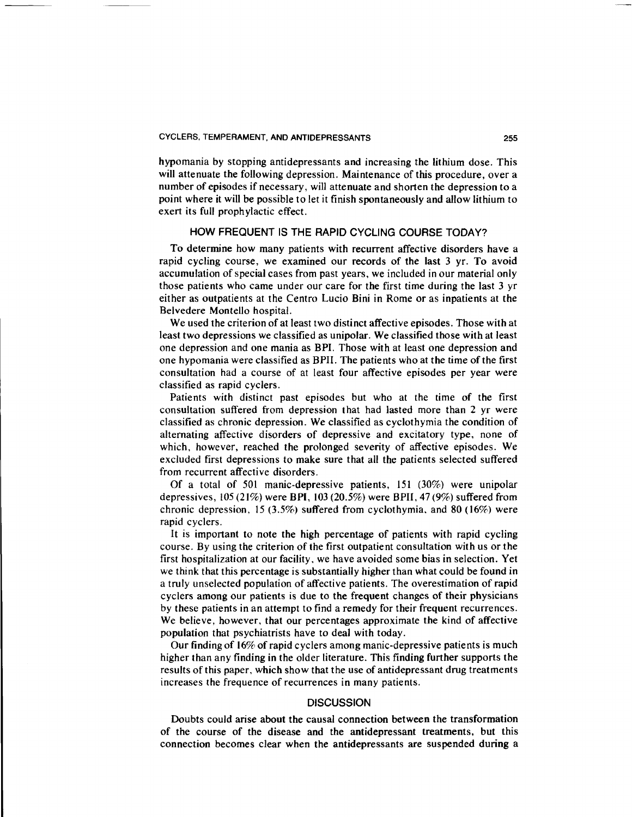hypomania by stopping antidepressants and increasing the lithium dose. This will attenuate the following depression. Maintenance of this procedure, over a number of episodes if necessary, will attenuate and shorten the depression to a point where it will be possible to let it finish spontaneously and allow lithium to exert its full prophylactic effect.

## HOW FREQUENT IS THE RAPID CYCLING COURSE TODAY?

To determine how many patients with recurrent affective disorders have a rapid cycling course, we examined our records of the last 3 yr. To avoid accumulation of special cases from past years, we included in our material only those patients who came under our care for the first time during the last 3 yr either as outpatients at the Centro Lucio Bini in Rome or as inpatients at the Belvedere Montello hospital.

We used the criterion of at least two distinct affective episodes. Those with at least two depressions we classified as unipolar. We classified those with at least one depression and one mania as BPI. Those with at least one depression and one hypomania were classified as BPIL The patients who at the time of the first consultation had a course of at least four affective episodes per year were classified as rapid cyclers.

Patients with distinct past episodes but who at the time of the first consultation suffered from depression that had lasted more than 2 yr were classified as chronic depression. We classified as cyclothymia the condition of alternating affective disorders of depressive and excitatory type, none of which, however, reached the prolonged severity of affective episodes. We excluded first depressions to make sure that all the patients selected suffered from recurrent affective disorders.

Of a total of 501 manic-depressive patients, l5l (30%) were unipolar depressives, 105 (21%) were BPI, 103 (20.5%) were BPII, 47 (9%) suffered from chronic depression, 15 (3.5%) suffered from cyclothymia, and 80 (16%) were rapid cyclers.

It is important to note the high percentage of patients with rapid cycling course. By using the criterion of the first outpatient consultation with us or the first hospitalization at our facility, we have avoided some bias in selection. Yet we think that this percentage is substantially higher than what could be found in a truly unselected population of affective patients. The overestimation of rapid cyclers among our patients is due to the frequent changes of their physicians by these patients in an attempt to find a remedy for their frequent recurrences. We believe, however, that our percentages approximate the kind of affective population that psychiatrists have to deal with today.

Our finding of 16% of rapid cyclers among manic-depressive patients is much higher than any finding in the older literature. This finding further supports the results of this paper, which show that the use of antidepressant drug treatments increases the frequence of recurrences in many patients.

#### **DISCUSSION**

Doubts could arise about the causal connection between the transformation of the course of the disease and the antidepressant treatments, but this connection becomes clear when the antidepressants are suspended during a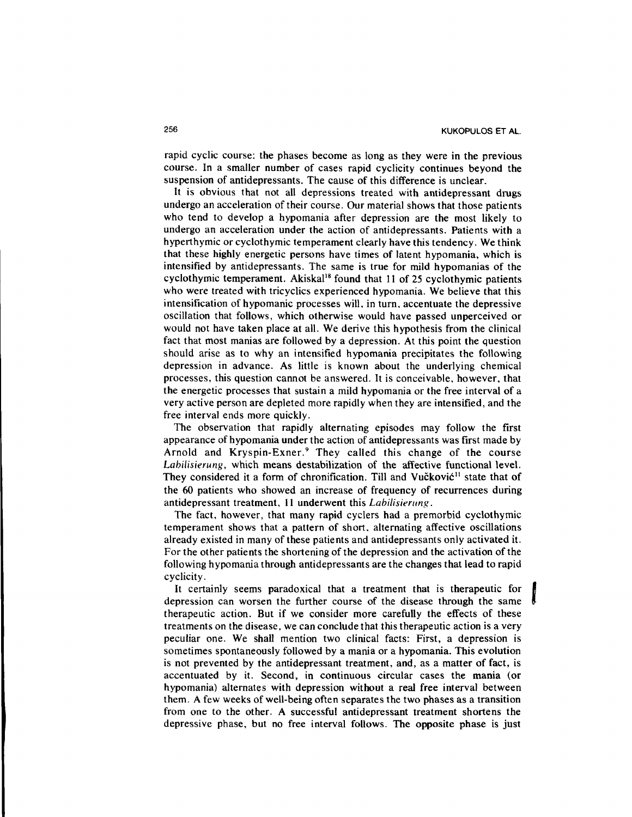rapid cyclic course: the phases become as long as they were in the previous course. In a smaller number of cases rapid cyclicity continues beyond the suspension of antidepressants. The cause of this difference is unclear.

It is obvious that not all depressions treated with antidepressant drugs undergo an acceleration of their course. Our material shows that those patients who tend to develop a hypomania after depression are the most likely to undergo an acceleration under the action of antidepressants. Patients with a hyperthymic or cyclothymic temperament clearly have this tendency. We think that these highly energetic persons have times of latent hypomania, which is intensified by antidepressants. The same is true for mild hypomanias of the cyclothymic temperament. Akiskal<sup>18</sup> found that 11 of 25 cyclothymic patients who were treated with tricyclics experienced hypomania. We believe that this intensification of hypomanic processes will, in turn. accentuate the depressive oscillation that follows, which otherwise would have passed unperceived or would not have taken place at all. We derive this hypothesis from the clinical fact that most manias are followed by a depression. At this point the question should arise as to why an intensified hypomania precipitates the following depression in advance. As little is known about the underlying chemical processes, this question cannot be answered. It is conceivable. however, that the energetic processes that sustain a mild hypomania or the free interval of a very active person are depleted more rapidly when they are intensified, and the free interval ends more quickly.

The observation that rapidly alternating episodes may follow the first appearance of hypomania under the action of antidepressants was first made by Arnold and Kryspin-Exner.<sup>9</sup> They called this change of the course Labilisierung, which means destabilization of the affective functional level. They considered it a form of chronification. Till and Vučković<sup>11</sup> state that of the 60 patients who showed an increase of frequency of recurrences during antidepressant treatment, ll underwent this Labilisierung.

The fact, however, that many rapid cyclers had a premorbid cyclothymic temperament shows that a pattern of short. alternating affective oscillations already existed in many of these patients and antidepressants only activated it. For the other patients the shortening of the depression and the activation of the following hypomania through antidepressants are the changes that lead to rapid cyclicity.

It certainly seems paradoxical that a treatment that is therapeutic for depression can worsen the further course of the disease through the same therapeutic action. But if we consider more carefully the effects of these treatments on the disease, we can conclude that this therapeutic action is a very peculiar one. We shall mention two clinical facts: First, a depression is sometimes spontaneously followed by a mania or a hypomania. This evolution is not prevented by the antidepressant treatment, and, as a matter of fact, is accentuated by it. Second, in continuous circular cases the mania (or hypomania) alternates with depression without a real free interval between them. A few weeks of well-being often separates the two phases as a transition from one to the other. A successful antidepressant treatment shortens the depressive phase, but no free interval follows. The opposite phase is just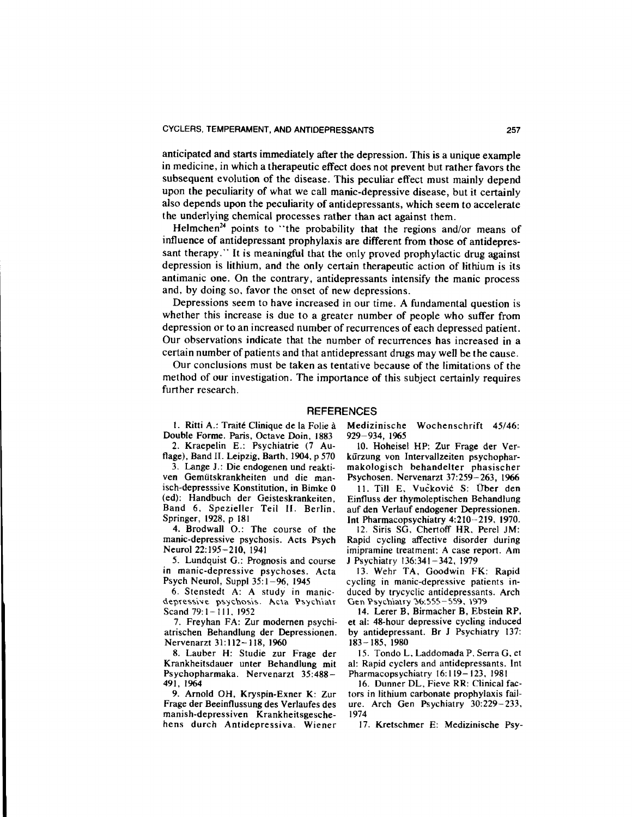anticipated and starts immediately after the depression. This is a unique example in medicine, in which a therapeutic effect does not prevent but rather favors the subsequent evolution of the disease. This peculiar effect must mainly depend upon the peculiarity of what we call manic-depressive disease, but it certainly also depends upon the peculiarity of antidepressants, which seem to accelerate the underlying chemical processes ratber than act against them.

Helmchen<sup>24</sup> points to "the probability that the regions and/or means of influence of antidepressant prophylaxis are different from those of antidepressant therapy." It is meaningful that the only proved prophylactic drug against depression is lithium, and the only certain therapeutic action of lithium is its antimanic one. On the contrary, antidepressants intensify the manic process and, by doing so. favor the onset of new depressions.

Depressions seem to have increased in our time. A fundamental question is whether this increase is due to a greater number of people who suffer from depression or to an increased number of recurrences of each depressed patient. Our observations indicate that the number of recurrences has increased in a certain number of patients and that antidepressant drugs may well be the cause.

Our conclusions must be taken as tentative because of the limitations of the method of our investigation. The importance of this subject certainly requires further research.

## **REFERENCES**

Double Forme. Paris, Octave Doin, 1883<br>2. Kraepelin E.: Psychiatrie (7 Au-

isch-depresssive Konstitution, in Bimke 0 (ed): Handbuch der Geisteskrankeiten, (ed): Handbuch der Geisteskrankeiten, Einfluss der thymoleptischen Behandlung Band 6. Spezieller Teil II. Berlin, auf den Verlauf endogener Depressionen.

manic-depressive psychosis. Acts Psych Rapid cycling affective disorder during<br>Neurol 22:195-210, 1941 imipramine treatment: A case report. Am

5. Lundquist G.: Prognosis and course J Psychiatry 136:341-342, 1979<br>manic-depressive psychoses. Acta 13. Wehr TA, Goodwin FK: Rapid in manic-depressive psychoses. Acta Psych Neurol, Suppl  $35:1-96$ , 1945

depressive psychosis. Acta Psychiatr<br>Scand 79:1-111, 1952

atrischen Behandlung der Depressionen. by antidepressant. Br J Psychiatry 137: Nervenarzt 31:112-118, 1960

Krankheitsdauer unter Behandlung mit al: Rapid cyclers and antidepressants.<br>Psychopharmaka. Nervenarzt 35:488- Pharmacopsychiatry 16:119-123, 1981 Psychopharmaka. Nervenarzt 35:488-491, 1964 16. Dunner DL, Fieve RR: Clinical fac-

Frage der Beeinflussung des Verlaufes des ure.<br>manish-depressiven Krankheitsgesche- 1974 manish-depressiven Krankheitsgeschehens durch Antidepressiva. Wiener 17. Kretschmer E: Medizinische Psy-

1. Ritti A.: Traité Clinique de la Folie à Medizinische Wochenschrift 45/46:<br>puble Forme. Paris, Octave Doin. 1883 929-934, 1965

2. Kraepelin E.: Psychiatrie (7 Au- 10. Hoheisel HP: Zur Frage der Ver-<br>flage), Band II. Leipzig, Barth, 1904, p 570 kürzung von Intervallzeiten psychopharflage), Band II. Leipzig, Barth, 1904. p570 kürzung von Intervallzeiten psychophar-<br>3. Lange J.: Die endogenen und reakti- makologisch behandelter phasischer 3. Lange J.: Die endogenen und reakti- makologisch behandelter phasischer ven Gemütskrankheiten und die man- Psychosen. Nervenarzt 37:259–263, 1966

Psychosen. Nervenarzt 37:259-263, 1966<br>11. Till E. Vucković S: Über den

oringer, 1928, p 181 Int Pharmacopsychiatry 4:210-219, 1970.<br>4. Brodwall O.: The course of the 12. Siris SG, Chertoff HR, Perel JM: 12. Siris SG, Chertoff HR, Perel JM: imipramine treatment: A case report. Am J Psychiatry 136:341-342, 1979

Sych Neurol, Suppl  $35:1-96$ , 1945 cycling in manic-depressive patients in-<br>6. Stenstedt A: A study in manic- duced by trycyclic antidepressants. Arch duced by trycyclic antidepressants. Arch<br>Gen Psychiatry 36:555-559, 1979

14. Lerer B, Birmacher B, Ebstein RP, 7. Freyhan FA: Zur modernen psychi- et al: 48-hour dopressive cycling induced

8. Lauber H: Studie zur Frage der 15. Tondo L, Laddomada P, Serra G, et rankheitsdauer unter Behandlung mit al: Rapid cyclers and antidepressants. Int

9. Arnold OH, Kryspin-Exner K: Zur tors in lithium carbonate prophylaxis fail-<br>rage der Beeinflussung des Verlaufes des ure. Arch Gen Psychiatry 30:229–233,